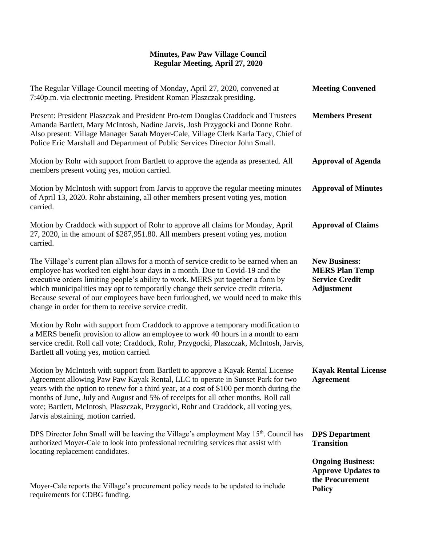## **Minutes, Paw Paw Village Council Regular Meeting, April 27, 2020**

| The Regular Village Council meeting of Monday, April 27, 2020, convened at<br>7:40p.m. via electronic meeting. President Roman Plaszczak presiding.                                                                                                                                                                                                                                                                                                                                     | <b>Meeting Convened</b>                                                                     |
|-----------------------------------------------------------------------------------------------------------------------------------------------------------------------------------------------------------------------------------------------------------------------------------------------------------------------------------------------------------------------------------------------------------------------------------------------------------------------------------------|---------------------------------------------------------------------------------------------|
| Present: President Plaszczak and President Pro-tem Douglas Craddock and Trustees<br>Amanda Bartlett, Mary McIntosh, Nadine Jarvis, Josh Przygocki and Donne Rohr.<br>Also present: Village Manager Sarah Moyer-Cale, Village Clerk Karla Tacy, Chief of<br>Police Eric Marshall and Department of Public Services Director John Small.                                                                                                                                                  | <b>Members Present</b>                                                                      |
| Motion by Rohr with support from Bartlett to approve the agenda as presented. All<br>members present voting yes, motion carried.                                                                                                                                                                                                                                                                                                                                                        | <b>Approval of Agenda</b>                                                                   |
| Motion by McIntosh with support from Jarvis to approve the regular meeting minutes<br>of April 13, 2020. Rohr abstaining, all other members present voting yes, motion<br>carried.                                                                                                                                                                                                                                                                                                      | <b>Approval of Minutes</b>                                                                  |
| Motion by Craddock with support of Rohr to approve all claims for Monday, April<br>27, 2020, in the amount of \$287,951.80. All members present voting yes, motion<br>carried.                                                                                                                                                                                                                                                                                                          | <b>Approval of Claims</b>                                                                   |
| The Village's current plan allows for a month of service credit to be earned when an<br>employee has worked ten eight-hour days in a month. Due to Covid-19 and the<br>executive orders limiting people's ability to work, MERS put together a form by<br>which municipalities may opt to temporarily change their service credit criteria.<br>Because several of our employees have been furloughed, we would need to make this<br>change in order for them to receive service credit. | <b>New Business:</b><br><b>MERS Plan Temp</b><br><b>Service Credit</b><br><b>Adjustment</b> |
| Motion by Rohr with support from Craddock to approve a temporary modification to<br>a MERS benefit provision to allow an employee to work 40 hours in a month to earn<br>service credit. Roll call vote; Craddock, Rohr, Przygocki, Plaszczak, McIntosh, Jarvis,<br>Bartlett all voting yes, motion carried.                                                                                                                                                                            |                                                                                             |
| Motion by McIntosh with support from Bartlett to approve a Kayak Rental License<br>Agreement allowing Paw Paw Kayak Rental, LLC to operate in Sunset Park for two<br>years with the option to renew for a third year, at a cost of \$100 per month during the<br>months of June, July and August and 5% of receipts for all other months. Roll call<br>vote; Bartlett, McIntosh, Plaszczak, Przygocki, Rohr and Craddock, all voting yes,<br>Jarvis abstaining, motion carried.         | <b>Kayak Rental License</b><br><b>Agreement</b>                                             |
| DPS Director John Small will be leaving the Village's employment May 15 <sup>th</sup> . Council has<br>authorized Moyer-Cale to look into professional recruiting services that assist with<br>locating replacement candidates.                                                                                                                                                                                                                                                         | <b>DPS</b> Department<br><b>Transition</b>                                                  |
| Moyer-Cale reports the Village's procurement policy needs to be updated to include<br>requirements for CDBG funding.                                                                                                                                                                                                                                                                                                                                                                    | <b>Ongoing Business:</b><br><b>Approve Updates to</b><br>the Procurement<br><b>Policy</b>   |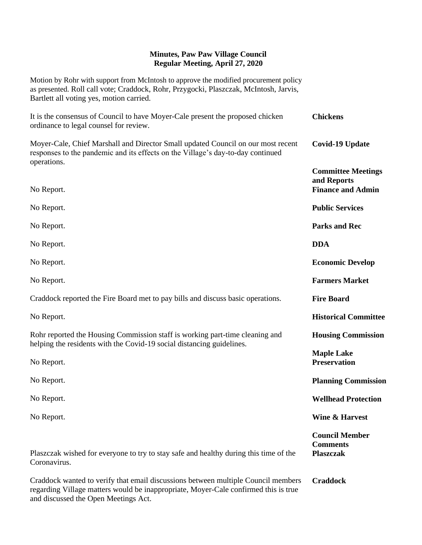## **Minutes, Paw Paw Village Council Regular Meeting, April 27, 2020**

Motion by Rohr with support from McIntosh to approve the modified procurement policy as presented. Roll call vote; Craddock, Rohr, Przygocki, Plaszczak, McIntosh, Jarvis, Bartlett all voting yes, motion carried.

| It is the consensus of Council to have Moyer-Cale present the proposed chicken<br>ordinance to legal counsel for review.                                            | <b>Chickens</b>                                                      |
|---------------------------------------------------------------------------------------------------------------------------------------------------------------------|----------------------------------------------------------------------|
| Moyer-Cale, Chief Marshall and Director Small updated Council on our most recent<br>responses to the pandemic and its effects on the Village's day-to-day continued | <b>Covid-19 Update</b>                                               |
| operations.<br>No Report.                                                                                                                                           | <b>Committee Meetings</b><br>and Reports<br><b>Finance and Admin</b> |
| No Report.                                                                                                                                                          | <b>Public Services</b>                                               |
| No Report.                                                                                                                                                          | <b>Parks and Rec</b>                                                 |
| No Report.                                                                                                                                                          | <b>DDA</b>                                                           |
| No Report.                                                                                                                                                          | <b>Economic Develop</b>                                              |
| No Report.                                                                                                                                                          | <b>Farmers Market</b>                                                |
| Craddock reported the Fire Board met to pay bills and discuss basic operations.                                                                                     | <b>Fire Board</b>                                                    |
| No Report.                                                                                                                                                          | <b>Historical Committee</b>                                          |
| Rohr reported the Housing Commission staff is working part-time cleaning and<br>helping the residents with the Covid-19 social distancing guidelines.               | <b>Housing Commission</b>                                            |
| No Report.                                                                                                                                                          | <b>Maple Lake</b><br><b>Preservation</b>                             |
| No Report.                                                                                                                                                          | <b>Planning Commission</b>                                           |
| No Report.                                                                                                                                                          | <b>Wellhead Protection</b>                                           |
| No Report.                                                                                                                                                          | Wine & Harvest                                                       |
| Plaszczak wished for everyone to try to stay safe and healthy during this time of the<br>Coronavirus.                                                               | <b>Council Member</b><br><b>Comments</b><br><b>Plaszczak</b>         |
| Craddock wanted to verify that email discussions between multiple Council members                                                                                   | <b>Craddock</b>                                                      |

regarding Village matters would be inappropriate, Moyer-Cale confirmed this is true and discussed the Open Meetings Act.